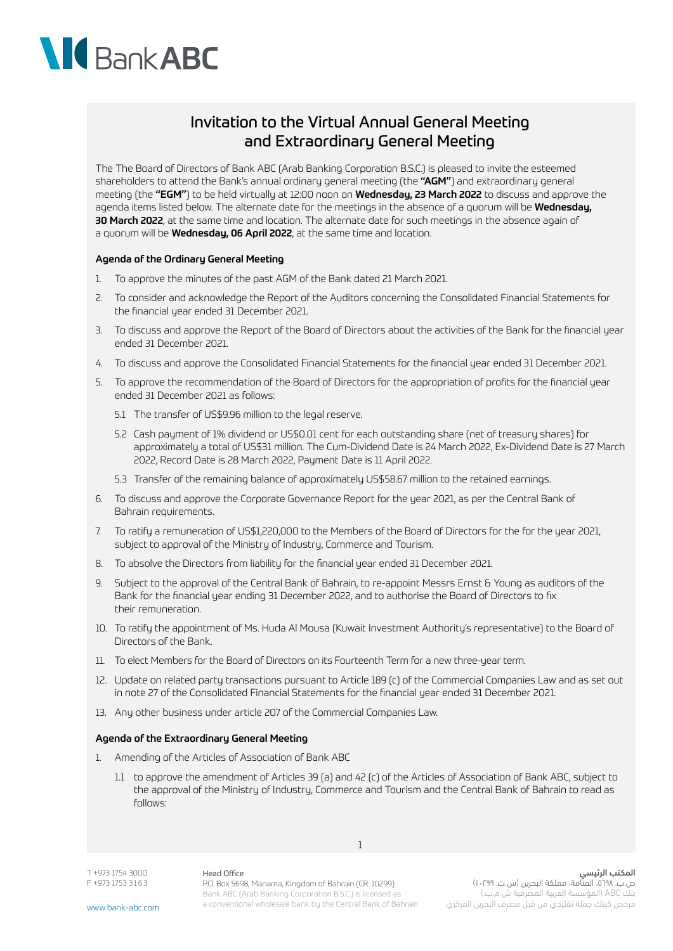## BankABC

### Invitation to the Virtual Annual General Meeting and Extraordinary General Meeting

The The Board of Directors of Bank ABC (Arab Banking Corporation B.S.C.) is pleased to invite the esteemed shareholders to attend the Bank's annual ordinary general meeting (the "AGM") and extraordinary general meeting (the "EGM") to be held virtually at 12:00 noon on Wednesday, 23 March 2022 to discuss and approve the agenda items listed below. The alternate date for the meetings in the absence of a quorum will be Wednesday, 30 March 2022, at the same time and location. The alternate date for such meetings in the absence again of a quorum will be **Wednesday, 06 April 2022**, at the same time and location.

#### Agenda of the Ordinary General Meeting

- 1. To approve the minutes of the past AGM of the Bank dated 21 March 2021.
- 2. To consider and acknowledge the Report of the Auditors concerning the Consolidated Financial Statements for the financial year ended 31 December 2021.
- 3. To discuss and approve the Report of the Board of Directors about the activities of the Bank for the financial year ended 31 December 2021.
- 4. To discuss and approve the Consolidated Financial Statements for the financial year ended 31 December 2021.
- 5. To approve the recommendation of the Board of Directors for the appropriation of profits for the financial year ended 31 December 2021 as follows:
	- 5.1 The transfer of US\$9.96 million to the legal reserve.
	- 5.2 Cash payment of 1% dividend or US\$0.01 cent for each outstanding share (net of treasury shares) for approximately a total of US\$31 million. The Cum-Dividend Date is 24 March 2022, Ex-Dividend Date is 27 March 2022, Record Date is 28 March 2022, Paument Date is 11 April 2022.
	- 5.3 Transfer of the remaining balance of approximately US\$58.67 million to the retained earnings.
- 6. To discuss and approve the Corporate Governance Report for the year 2021, as per the Central Bank of Bahrain requirements.
- 7. To ratify a remuneration of US\$1,220,000 to the Members of the Board of Directors for the for the year 2021, subject to approval of the Ministry of Industry, Commerce and Tourism.
- 8. To absolve the Directors from liability for the financial year ended 31 December 2021.
- 9. Subject to the approval of the Central Bank of Bahrain, to re-appoint Messrs Ernst & Young as auditors of the Bank for the financial year ending 31 December 2022, and to authorise the Board of Directors to fix their remuneration.
- 10. To ratify the appointment of Ms. Huda Al Mousa (Kuwait Investment Authority's representative) to the Board of Directors of the Bank.
- 11. To elect Members for the Board of Directors on its Fourteenth Term for a new three-year term.
- 12. Update on related party transactions pursuant to Article 189 (c) of the Commercial Companies Law and as set out in note 27 of the Consolidated Financial Statements for the financial year ended 31 December 2021.
- 13. Any other business under article 207 of the Commercial Companies Law.

#### Agenda of the Extraordinary General Meeting

- 1. Amending of the Articles of Association of Bank ABC
	- 1.1 to approve the amendment of Articles 39 (a) and 42 (c) of the Articles of Association of Bank ABC, subject to the approval of the Ministry of Industry, Commerce and Tourism and the Central Bank of Bahrain to read as follows:

1

T +973 1754 3000 F +973 1753 3 1 6 3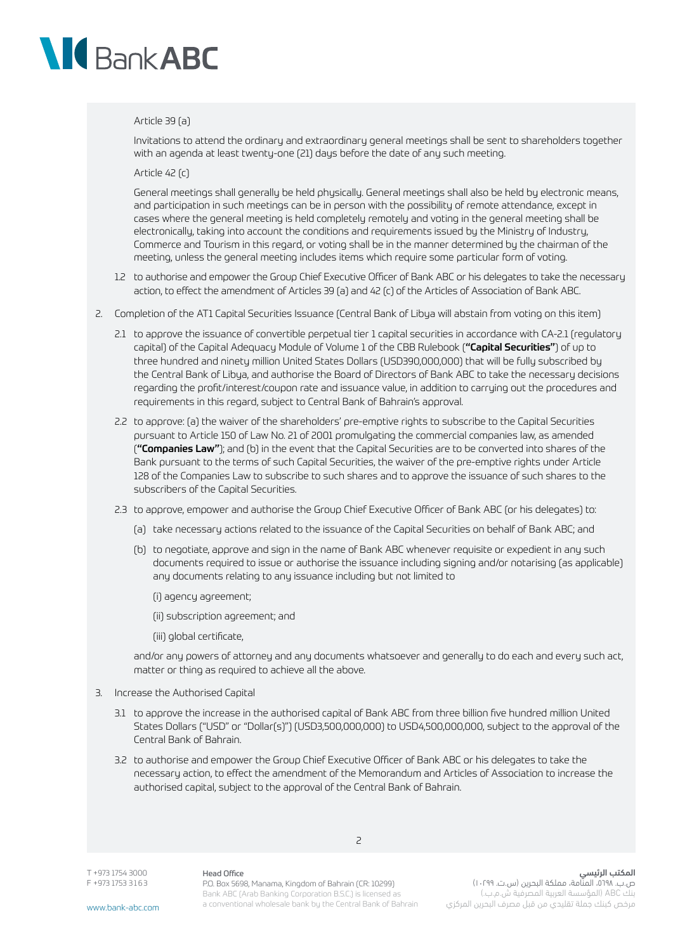# Bank ABC

#### Article 39 (a)

Invitations to attend the ordinary and extraordinary general meetings shall be sent to shareholders together with an agenda at least twenty-one (21) days before the date of any such meeting.

Article 42 (c)

General meetings shall generally be held physically. General meetings shall also be held by electronic means, and participation in such meetings can be in person with the possibility of remote attendance, except in cases where the general meeting is held completely remotely and voting in the general meeting shall be electronically, taking into account the conditions and requirements issued by the Ministry of Industry, Commerce and Tourism in this regard, or voting shall be in the manner determined by the chairman of the meeting, unless the general meeting includes items which require some particular form of voting.

- 1.2 to authorise and empower the Group Chief Executive Officer of Bank ABC or his delegates to take the necessary action, to effect the amendment of Articles 39 (a) and 42 (c) of the Articles of Association of Bank ABC.
- 2. Completion of the AT1 Capital Securities Issuance (Central Bank of Libya will abstain from voting on this item)
	- 2.1 to approve the issuance of convertible perpetual tier 1 capital securities in accordance with CA-2.1 (regulatory capital) of the Capital Adequacy Module of Volume 1 of the CBB Rulebook ("**Capital Securities"**) of up to three hundred and ninety million United States Dollars (USD390,000,000) that will be fully subscribed by the Central Bank of Libya, and authorise the Board of Directors of Bank ABC to take the necessary decisions regarding the profit/interest/coupon rate and issuance value, in addition to carrying out the procedures and requirements in this regard, subject to Central Bank of Bahrain's approval.
	- 2.2 to approve: (a) the waiver of the shareholders' pre-emptive rights to subscribe to the Capital Securities pursuant to Article 150 of Law No. 21 of 2001 promulgating the commercial companies law, as amended ("Companies Law"); and (b) in the event that the Capital Securities are to be converted into shares of the Bank pursuant to the terms of such Capital Securities, the waiver of the pre-emptive rights under Article 128 of the Companies Law to subscribe to such shares and to approve the issuance of such shares to the subscribers of the Capital Securities.
	- 2.3 to approve, empower and authorise the Group Chief Executive Officer of Bank ABC (or his delegates) to:
		- (a) take necessary actions related to the issuance of the Capital Securities on behalf of Bank ABC; and
		- (b) to negotiate, approve and sign in the name of Bank ABC whenever requisite or expedient in any such documents required to issue or authorise the issuance including signing and/or notarising (as applicable) any documents relating to any issuance including but not limited to

(i) agency agreement;

(ii) subscription agreement; and

(iii) global certificate,

and/or any powers of attorney and any documents whatsoever and generally to do each and every such act, matter or thing as required to achieve all the above.

- 3. Increase the Authorised Capital
	- 3.1 to approve the increase in the authorised capital of Bank ABC from three billion five hundred million United States Dollars ("USD" or "Dollar(s)") (USD3,500,000,000) to USD4,500,000,000, subject to the approval of the Central Bank of Bahrain.
	- 3.2 to authorise and empower the Group Chief Executive Officer of Bank ABC or his delegates to take the necessary action, to effect the amendment of the Memorandum and Articles of Association to increase the authorised capital, subject to the approval of the Central Bank of Bahrain.

2

T +973 1754 3000 F +973 1753 3 1 6 3

www.bank-abc.com